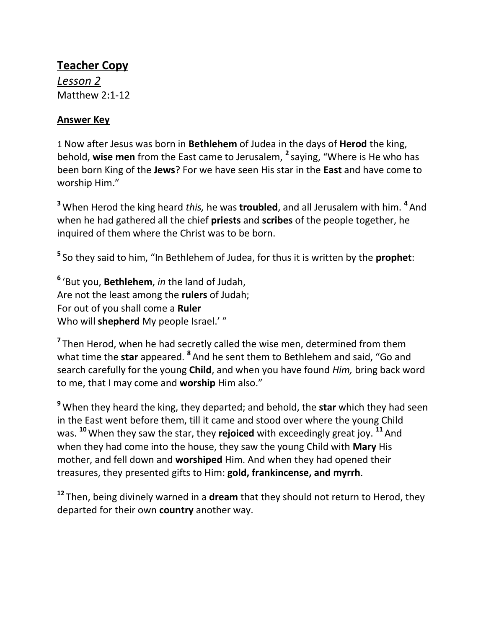## **Teacher Copy**

*Lesson 2* Matthew 2:1-12

## **Answer Key**

1 Now after Jesus was born in **Bethlehem** of Judea in the days of **Herod** the king, behold, **wise men** from the East came to Jerusalem, **<sup>2</sup>** saying, "Where is He who has been born King of the **Jews**? For we have seen His star in the **East** and have come to worship Him."

**<sup>3</sup>** When Herod the king heard *this,* he was **troubled**, and all Jerusalem with him. **<sup>4</sup>** And when he had gathered all the chief **priests** and **scribes** of the people together, he inquired of them where the Christ was to be born.

**5** So they said to him, "In Bethlehem of Judea, for thus it is written by the **prophet**:

**6** 'But you, **Bethlehem**, *in* the land of Judah, Are not the least among the **rulers** of Judah; For out of you shall come a **Ruler** Who will **shepherd** My people Israel.' "

<sup>7</sup> Then Herod, when he had secretly called the wise men, determined from them what time the **star** appeared. **<sup>8</sup>** And he sent them to Bethlehem and said, "Go and search carefully for the young **Child**, and when you have found *Him,* bring back word to me, that I may come and **worship** Him also."

**<sup>9</sup>** When they heard the king, they departed; and behold, the **star** which they had seen in the East went before them, till it came and stood over where the young Child was. **<sup>10</sup>**When they saw the star, they **rejoiced** with exceedingly great joy. **<sup>11</sup>** And when they had come into the house, they saw the young Child with **Mary** His mother, and fell down and **worshiped** Him. And when they had opened their treasures, they presented gifts to Him: **gold, frankincense, and myrrh**.

**<sup>12</sup>** Then, being divinely warned in a **dream** that they should not return to Herod, they departed for their own **country** another way.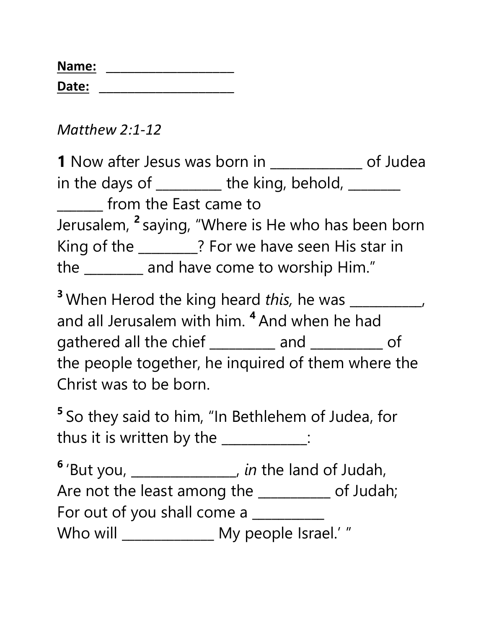| Name: |  |
|-------|--|
| Date: |  |

*Matthew 2:1-12*

**1** Now after Jesus was born in \_\_\_\_\_\_\_\_\_\_\_\_\_\_ of Judea in the days of  $\frac{1}{\sqrt{1-\frac{1}{\sqrt{1-\frac{1}{\sqrt{1-\frac{1}{\sqrt{1-\frac{1}{\sqrt{1-\frac{1}{\sqrt{1-\frac{1}{\sqrt{1-\frac{1}{\sqrt{1-\frac{1}{\sqrt{1-\frac{1}{\sqrt{1-\frac{1}{\sqrt{1-\frac{1}{\sqrt{1-\frac{1}{\sqrt{1-\frac{1}{\sqrt{1-\frac{1}{\sqrt{1-\frac{1}{\sqrt{1-\frac{1}{\sqrt{1-\frac{1}{\sqrt{1-\frac{1}{\sqrt{1-\frac{1}{\sqrt{1-\frac{1}{\sqrt{1-\frac{1}{\sqrt{1-\frac{1}{\sqrt$ \_\_\_\_\_\_\_ from the East came to Jerusalem, **<sup>2</sup>** saying, "Where is He who has been born King of the \_\_\_\_\_\_\_\_\_? For we have seen His star in the \_\_\_\_\_\_\_\_\_ and have come to worship Him."

<sup>3</sup> When Herod the king heard *this*, he was \_\_\_\_\_\_\_\_\_, and all Jerusalem with him. **<sup>4</sup>** And when he had gathered all the chief \_\_\_\_\_\_\_\_ and \_\_\_\_\_\_\_\_ of the people together, he inquired of them where the Christ was to be born.

**5** So they said to him, "In Bethlehem of Judea, for thus it is written by the \_\_\_\_\_\_\_\_\_\_\_\_\_\_:

**6** 'But you, \_\_\_\_\_\_\_\_\_\_\_\_\_\_\_\_, *in* the land of Judah, Are not the least among the \_\_\_\_\_\_\_\_\_\_ of Judah; For out of you shall come a Who will \_\_\_\_\_\_\_\_\_\_\_\_\_\_\_ My people Israel.' "